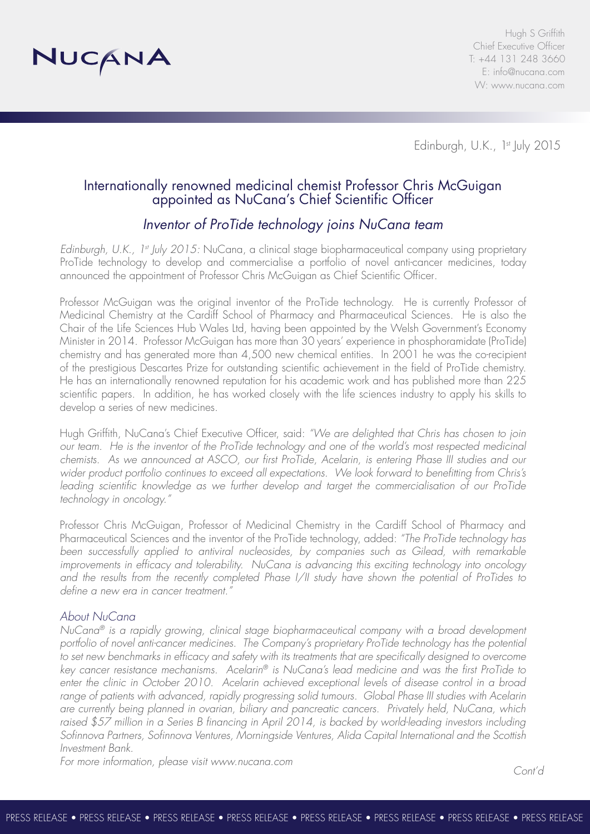

Hugh S Griffith Chief Executive Officer T: +44 131 248 3660 E: info@nucana.com W: www.nucana.com

Edinburgh, U.K., 1st July 2015

## Internationally renowned medicinal chemist Professor Chris McGuigan appointed as NuCana's Chief Scientific Officer

# *Inventor of ProTide technology joins NuCana team*

*Edinburgh, U.K., 1st July 2015:* NuCana, a clinical stage biopharmaceutical company using proprietary ProTide technology to develop and commercialise a portfolio of novel anti-cancer medicines, today announced the appointment of Professor Chris McGuigan as Chief Scientific Officer.

Professor McGuigan was the original inventor of the ProTide technology. He is currently Professor of Medicinal Chemistry at the Cardiff School of Pharmacy and Pharmaceutical Sciences. He is also the Chair of the Life Sciences Hub Wales Ltd, having been appointed by the Welsh Government's Economy Minister in 2014. Professor McGuigan has more than 30 years' experience in phosphoramidate (ProTide) chemistry and has generated more than 4,500 new chemical entities. In 2001 he was the co-recipient of the prestigious Descartes Prize for outstanding scientific achievement in the field of ProTide chemistry. He has an internationally renowned reputation for his academic work and has published more than 225 scientific papers. In addition, he has worked closely with the life sciences industry to apply his skills to develop a series of new medicines.

Hugh Griffith, NuCana's Chief Executive Officer, said: *"We are delighted that Chris has chosen to join*  our team. He is the inventor of the ProTide technology and one of the world's most respected medicinal *chemists. As we announced at ASCO, our first ProTide, Acelarin, is entering Phase III studies and our wider product portfolio continues to exceed all expectations. We look forward to benefitting from Chris's leading scientific knowledge as we further develop and target the commercialisation of our ProTide technology in oncology."*

Professor Chris McGuigan, Professor of Medicinal Chemistry in the Cardiff School of Pharmacy and Pharmaceutical Sciences and the inventor of the ProTide technology, added: *"The ProTide technology has been successfully applied to antiviral nucleosides, by companies such as Gilead, with remarkable improvements in efficacy and tolerability. NuCana is advancing this exciting technology into oncology and the results from the recently completed Phase I/II study have shown the potential of ProTides to define a new era in cancer treatment."*

### *About NuCana*

*NuCana® is a rapidly growing, clinical stage biopharmaceutical company with a broad development portfolio of novel anti-cancer medicines. The Company's proprietary ProTide technology has the potential*  to set new benchmarks in efficacy and safety with its treatments that are specifically designed to overcome *key cancer resistance mechanisms. Acelarin® is NuCana's lead medicine and was the first ProTide to enter the clinic in October 2010. Acelarin achieved exceptional levels of disease control in a broad range of patients with advanced, rapidly progressing solid tumours. Global Phase III studies with Acelarin are currently being planned in ovarian, biliary and pancreatic cancers. Privately held, NuCana, which raised \$57 million in a Series B financing in April 2014, is backed by world-leading investors including Sofinnova Partners, Sofinnova Ventures, Morningside Ventures, Alida Capital International and the Scottish Investment Bank.* 

*For more information, please visit www.nucana.com*

*Cont'd*